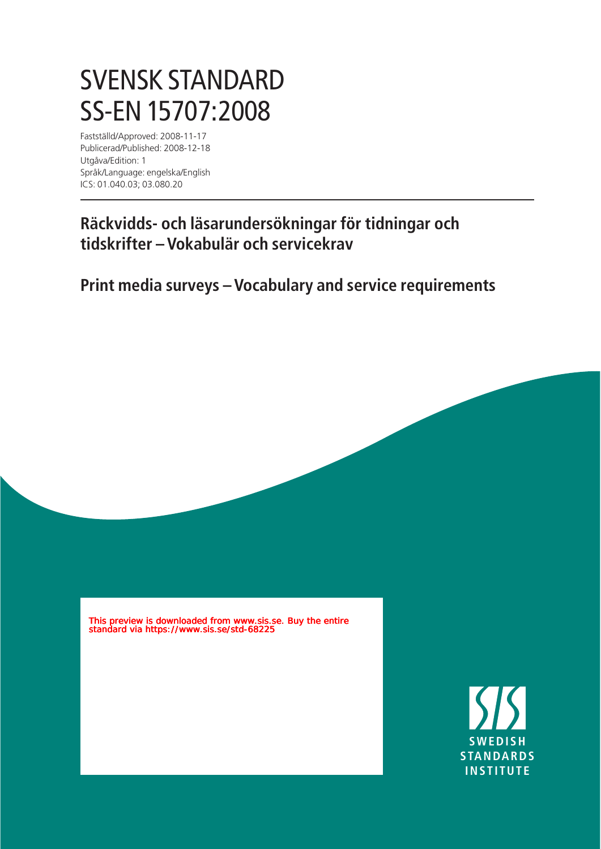# SVENSK STANDARD SS-EN 15707:2008

Fastställd/Approved: 2008-11-17 Publicerad/Published: 2008-12-18 Utgåva/Edition: 1 Språk/Language: engelska/English ICS: 01.040.03; 03.080.20

# **Räckvidds- och läsarundersökningar för tidningar och tidskrifter – Vokabulär och servicekrav**

**Print media surveys – Vocabulary and service requirements**

This preview is downloaded from www.sis.se. Buy the entire standard via https://www.sis.se/std-68225

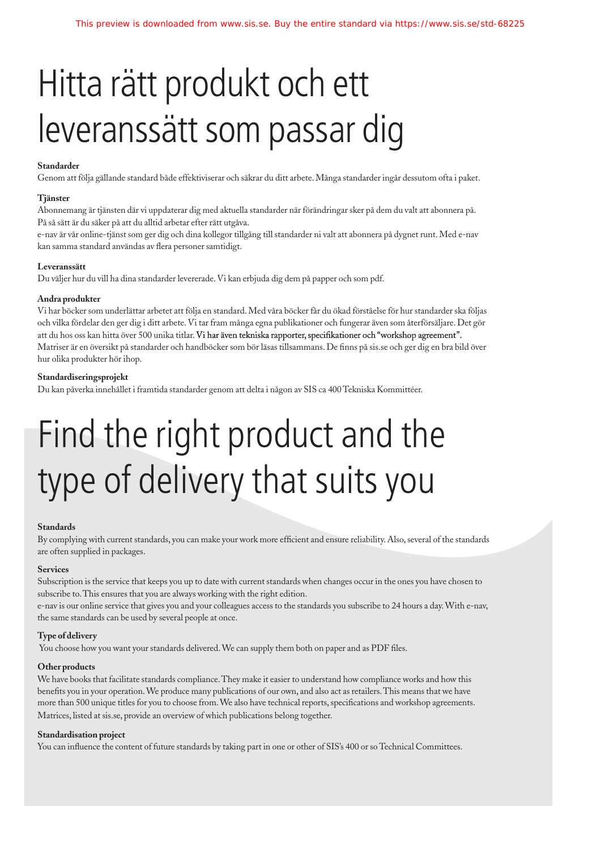# Hitta rätt produkt och ett leveranssätt som passar dig

#### **Standarder**

Genom att följa gällande standard både effektiviserar och säkrar du ditt arbete. Många standarder ingår dessutom ofta i paket.

#### **Tjänster**

Abonnemang är tjänsten där vi uppdaterar dig med aktuella standarder när förändringar sker på dem du valt att abonnera på. På så sätt är du säker på att du alltid arbetar efter rätt utgåva.

e-nav är vår online-tjänst som ger dig och dina kollegor tillgång till standarder ni valt att abonnera på dygnet runt. Med e-nav kan samma standard användas av flera personer samtidigt.

#### **Leveranssätt**

Du väljer hur du vill ha dina standarder levererade. Vi kan erbjuda dig dem på papper och som pdf.

#### **Andra produkter**

Vi har böcker som underlättar arbetet att följa en standard. Med våra böcker får du ökad förståelse för hur standarder ska följas och vilka fördelar den ger dig i ditt arbete. Vi tar fram många egna publikationer och fungerar även som återförsäljare. Det gör att du hos oss kan hitta över 500 unika titlar. Vi har även tekniska rapporter, specifikationer och "workshop agreement". Matriser är en översikt på standarder och handböcker som bör läsas tillsammans. De finns på sis.se och ger dig en bra bild över hur olika produkter hör ihop.

#### **Standardiseringsprojekt**

Du kan påverka innehållet i framtida standarder genom att delta i någon av SIS ca 400 Tekniska Kommittéer.

# Find the right product and the type of delivery that suits you

#### **Standards**

By complying with current standards, you can make your work more efficient and ensure reliability. Also, several of the standards are often supplied in packages.

#### **Services**

Subscription is the service that keeps you up to date with current standards when changes occur in the ones you have chosen to subscribe to. This ensures that you are always working with the right edition.

e-nav is our online service that gives you and your colleagues access to the standards you subscribe to 24 hours a day. With e-nav, the same standards can be used by several people at once.

#### **Type of delivery**

You choose how you want your standards delivered. We can supply them both on paper and as PDF files.

#### **Other products**

We have books that facilitate standards compliance. They make it easier to understand how compliance works and how this benefits you in your operation. We produce many publications of our own, and also act as retailers. This means that we have more than 500 unique titles for you to choose from. We also have technical reports, specifications and workshop agreements. Matrices, listed at sis.se, provide an overview of which publications belong together.

#### **Standardisation project**

You can influence the content of future standards by taking part in one or other of SIS's 400 or so Technical Committees.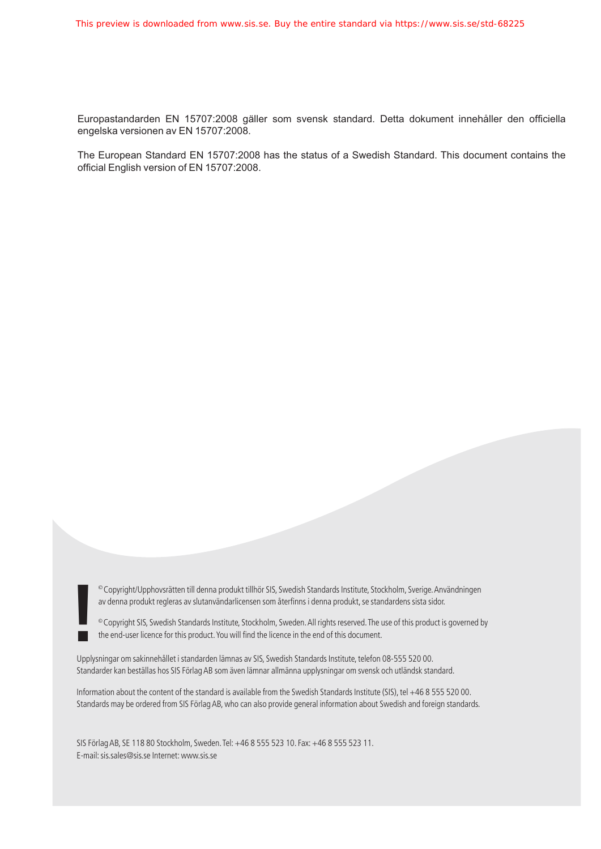Europastandarden EN 15707:2008 gäller som svensk standard. Detta dokument innehåller den officiella engelska versionen av EN 15707:2008.

The European Standard EN 15707:2008 has the status of a Swedish Standard. This document contains the official English version of EN 15707:2008.

av denna produkt regleras av slutanvändarlicensen som återfinns i denna produkt, se standardens sista sidor.

<sup>©</sup> Copyright/Upphovsrätten till denna produkt tillhör SIS, Swedish Standards Institute, Stockholm, Sverige. Användningen<br>av denna produkt regleras av slutanvändarlicensen som återfinns i denna produkt, se standardens sis

Upplysningar om sakinnehållet i standarden lämnas av SIS, Swedish Standards Institute, telefon 08-555 520 00. Standarder kan beställas hos SIS Förlag AB som även lämnar allmänna upplysningar om svensk och utländsk standard.

Information about the content of the standard is available from the Swedish Standards Institute (SIS), tel +46 8 555 520 00. Standards may be ordered from SIS Förlag AB, who can also provide general information about Swedish and foreign standards.

SIS Förlag AB, SE 118 80 Stockholm, Sweden. Tel: +46 8 555 523 10. Fax: +46 8 555 523 11. E-mail: sis.sales@sis.se Internet: www.sis.se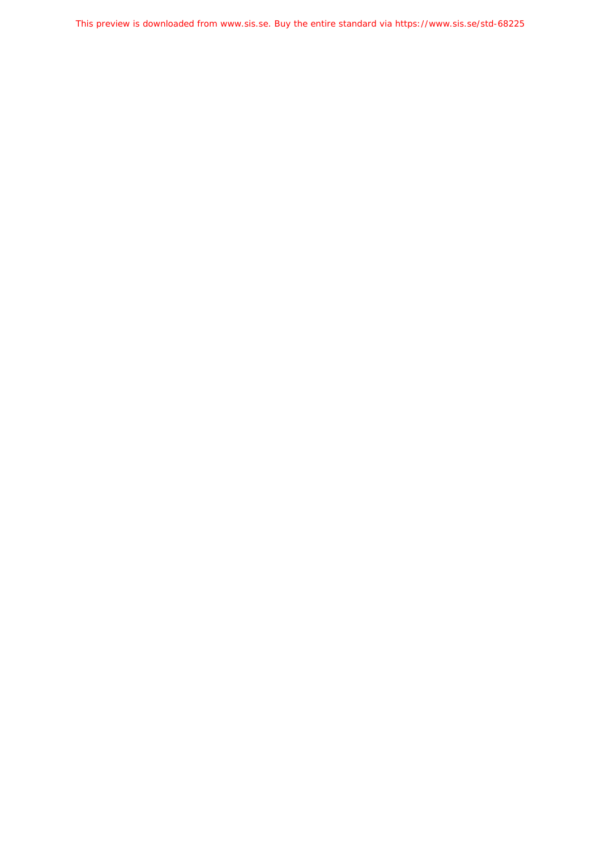This preview is downloaded from www.sis.se. Buy the entire standard via https://www.sis.se/std-68225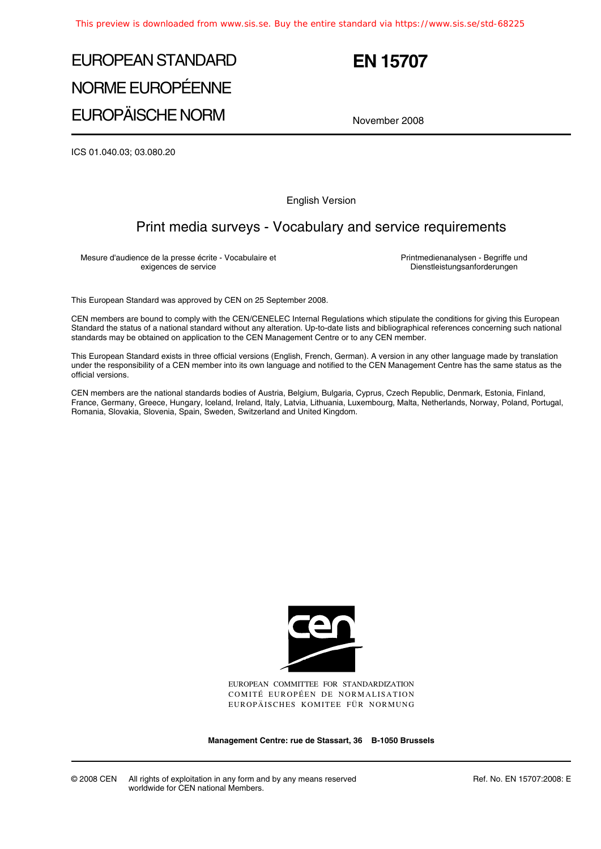# EUROPEAN STANDARD NORME EUROPÉENNE EUROPÄISCHE NORM

**EN 15707**

November 2008

ICS 01.040.03; 03.080.20

English Version

# Print media surveys - Vocabulary and service requirements

Mesure d'audience de la presse écrite - Vocabulaire et exigences de service

Printmedienanalysen - Begriffe und Dienstleistungsanforderungen

This European Standard was approved by CEN on 25 September 2008.

CEN members are bound to comply with the CEN/CENELEC Internal Regulations which stipulate the conditions for giving this European Standard the status of a national standard without any alteration. Up-to-date lists and bibliographical references concerning such national standards may be obtained on application to the CEN Management Centre or to any CEN member.

This European Standard exists in three official versions (English, French, German). A version in any other language made by translation under the responsibility of a CEN member into its own language and notified to the CEN Management Centre has the same status as the official versions.

CEN members are the national standards bodies of Austria, Belgium, Bulgaria, Cyprus, Czech Republic, Denmark, Estonia, Finland, France, Germany, Greece, Hungary, Iceland, Ireland, Italy, Latvia, Lithuania, Luxembourg, Malta, Netherlands, Norway, Poland, Portugal, Romania, Slovakia, Slovenia, Spain, Sweden, Switzerland and United Kingdom.



EUROPEAN COMMITTEE FOR STANDARDIZATION COMITÉ EUROPÉEN DE NORMALISATION EUROPÄISCHES KOMITEE FÜR NORMUNG

**Management Centre: rue de Stassart, 36 B-1050 Brussels**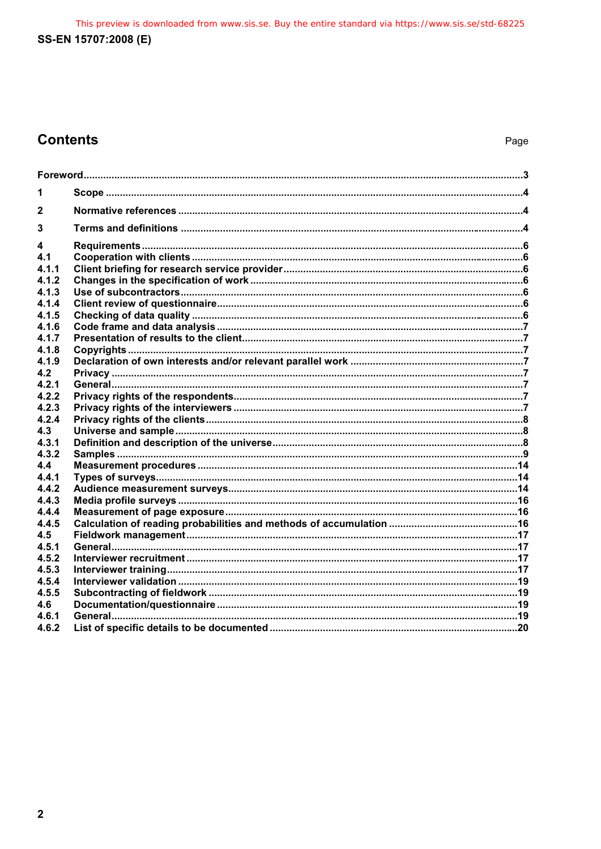This preview is downloaded from www.sis.se. Buy the entire standard via https://www.sis.se/std-68225 SS-EN 15707:2008 (E)

# **Contents**

| 1            |  |  |
|--------------|--|--|
| $\mathbf{2}$ |  |  |
| 3            |  |  |
| 4            |  |  |
| 4.1          |  |  |
| 4.1.1        |  |  |
| 4.1.2        |  |  |
| 4.1.3        |  |  |
| 4.1.4        |  |  |
| 4.1.5        |  |  |
| 4.1.6        |  |  |
| 4.1.7        |  |  |
| 4.1.8        |  |  |
| 4.1.9        |  |  |
| 4.2          |  |  |
| 4.2.1        |  |  |
| 4.2.2        |  |  |
| 4.2.3        |  |  |
| 4.2.4        |  |  |
| 4.3          |  |  |
| 4.3.1        |  |  |
| 4.3.2        |  |  |
| 4.4          |  |  |
| 4.4.1        |  |  |
| 4.4.2        |  |  |
| 4.4.3        |  |  |
| 444          |  |  |
| 4.4.5        |  |  |
| 4.5          |  |  |
| 4.5.1        |  |  |
| 4.5.2        |  |  |
| 4.5.3        |  |  |
| 4.5.4        |  |  |
| 4.5.5        |  |  |
|              |  |  |
| 4.6          |  |  |
| 4.6.1        |  |  |
| 4.6.2        |  |  |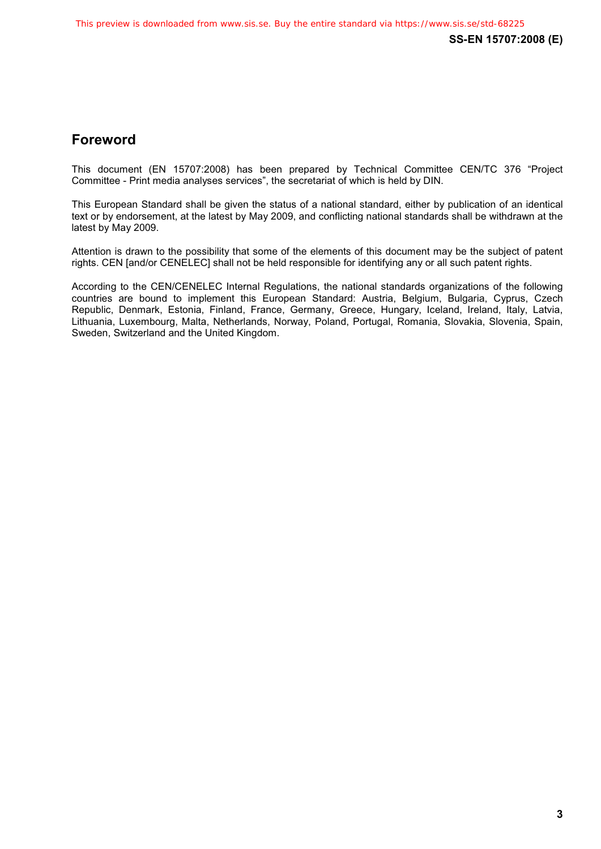# **Foreword**

This document (EN 15707:2008) has been prepared by Technical Committee CEN/TC 376 "Project Committee - Print media analyses services", the secretariat of which is held by DIN.

This European Standard shall be given the status of a national standard, either by publication of an identical text or by endorsement, at the latest by May 2009, and conflicting national standards shall be withdrawn at the latest by May 2009.

Attention is drawn to the possibility that some of the elements of this document may be the subject of patent rights. CEN [and/or CENELEC] shall not be held responsible for identifying any or all such patent rights.

According to the CEN/CENELEC Internal Regulations, the national standards organizations of the following countries are bound to implement this European Standard: Austria, Belgium, Bulgaria, Cyprus, Czech Republic, Denmark, Estonia, Finland, France, Germany, Greece, Hungary, Iceland, Ireland, Italy, Latvia, Lithuania, Luxembourg, Malta, Netherlands, Norway, Poland, Portugal, Romania, Slovakia, Slovenia, Spain, Sweden, Switzerland and the United Kingdom.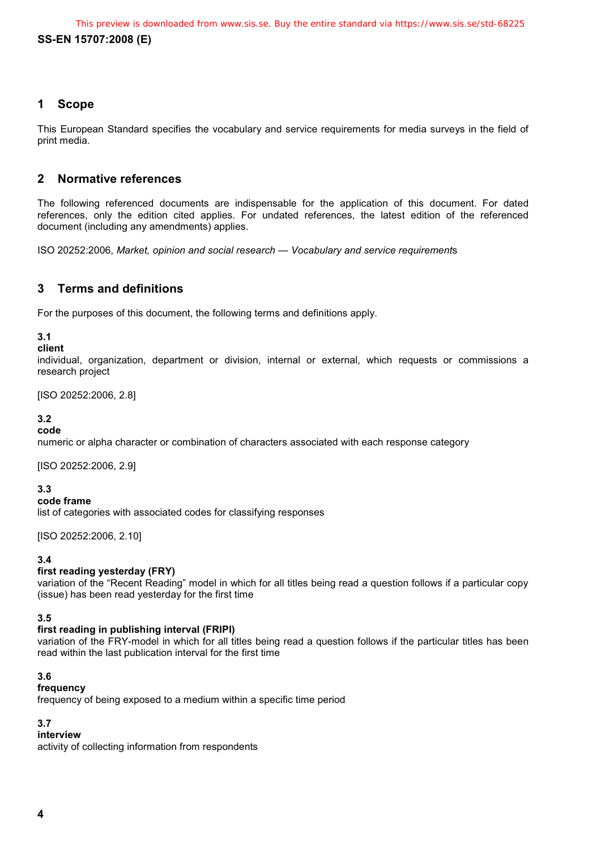# **1 Scope**

This European Standard specifies the vocabulary and service requirements for media surveys in the field of print media.

# **2 Normative references**

The following referenced documents are indispensable for the application of this document. For dated references, only the edition cited applies. For undated references, the latest edition of the referenced document (including any amendments) applies.

ISO 20252:2006, *Market, opinion and social research — Vocabulary and service requirement*s

# **3 Terms and definitions**

For the purposes of this document, the following terms and definitions apply.

# **3.1**

#### **client**

individual, organization, department or division, internal or external, which requests or commissions a research project

[ISO 20252:2006, 2.8]

#### **3.2**

#### **code**

numeric or alpha character or combination of characters associated with each response category

[ISO 20252:2006, 2.9]

#### **3.3**

#### **code frame**

list of categories with associated codes for classifying responses

[ISO 20252:2006, 2.10]

# **3.4**

# **first reading yesterday (FRY)**

variation of the "Recent Reading" model in which for all titles being read a question follows if a particular copy (issue) has been read yesterday for the first time

#### **3.5**

#### **first reading in publishing interval (FRIPI)**

variation of the FRY-model in which for all titles being read a question follows if the particular titles has been read within the last publication interval for the first time

# **3.6**

#### **frequency**

frequency of being exposed to a medium within a specific time period

# **3.7**

#### **interview**

activity of collecting information from respondents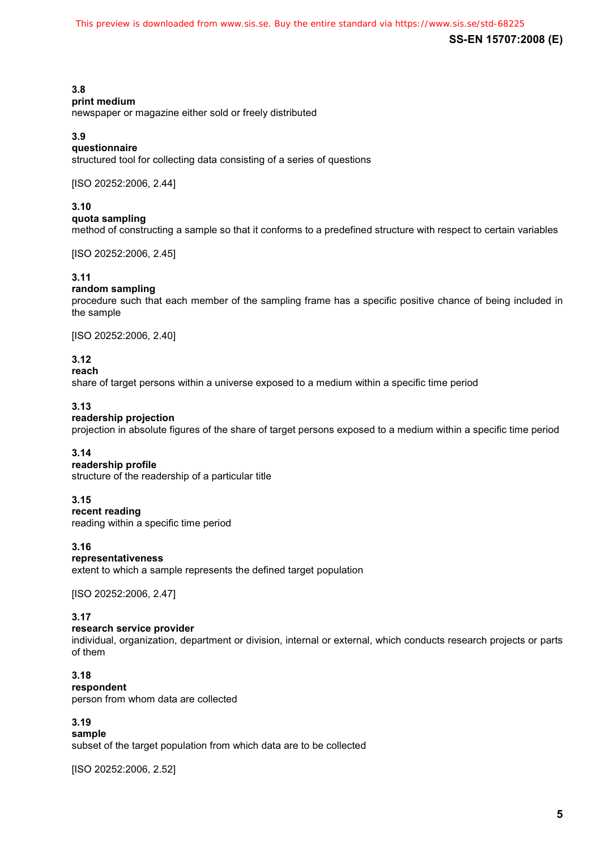This preview is downloaded from www.sis.se. Buy the entire standard via https://www.sis.se/std-68225

**EN 15707:2008 (E) SS-EN 15707:2008 (E)**

# **3.8**

#### **print medium**

newspaper or magazine either sold or freely distributed

# **3.9**

# **questionnaire**

structured tool for collecting data consisting of a series of questions

[ISO 20252:2006, 2.44]

# **3.10**

# **quota sampling**

method of constructing a sample so that it conforms to a predefined structure with respect to certain variables

[ISO 20252:2006, 2.45]

# **3.11**

# **random sampling**

procedure such that each member of the sampling frame has a specific positive chance of being included in the sample

[ISO 20252:2006, 2.40]

# **3.12**

#### **reach**

share of target persons within a universe exposed to a medium within a specific time period

# **3.13**

#### **readership projection**

projection in absolute figures of the share of target persons exposed to a medium within a specific time period

# **3.14**

# **readership profile**

structure of the readership of a particular title

#### **3.15**

**recent reading**  reading within a specific time period

#### **3.16**

# **representativeness**

extent to which a sample represents the defined target population

[ISO 20252:2006, 2.47]

# **3.17**

# **research service provider**

individual, organization, department or division, internal or external, which conducts research projects or parts of them

# **3.18**

#### **respondent**

person from whom data are collected

# **3.19**

**sample**  subset of the target population from which data are to be collected

[ISO 20252:2006, 2.52]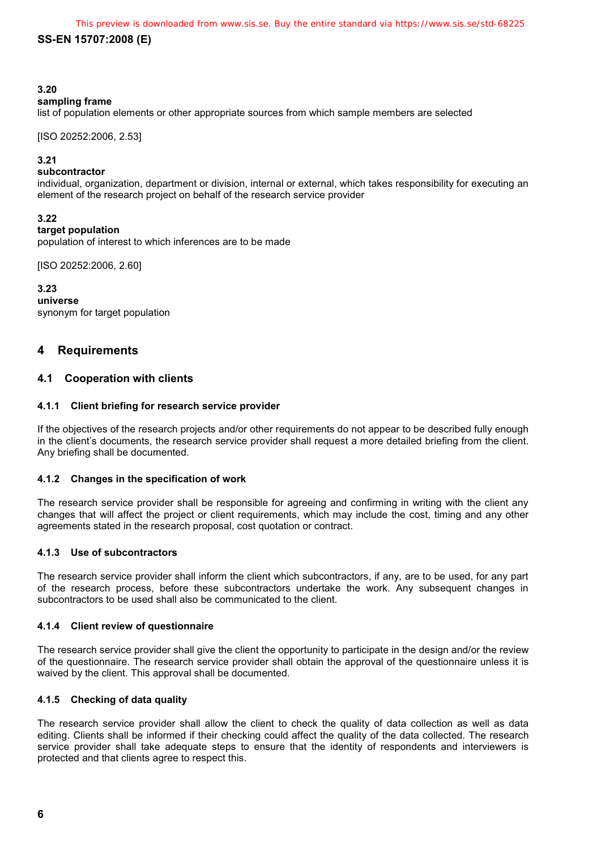**EN 15707:2008 (E) SS-EN 15707:2008 (E)**

# **3.20**

#### **sampling frame**

list of population elements or other appropriate sources from which sample members are selected

[ISO 20252:2006, 2.53]

# **3.21**

# **subcontractor**

individual, organization, department or division, internal or external, which takes responsibility for executing an element of the research project on behalf of the research service provider

# **3.22**

#### **target population**

population of interest to which inferences are to be made

[ISO 20252:2006, 2.60]

**3.23 universe**  synonym for target population

# **4 Requirements**

# **4.1 Cooperation with clients**

# **4.1.1 Client briefing for research service provider**

If the objectives of the research projects and/or other requirements do not appear to be described fully enough in the client's documents, the research service provider shall request a more detailed briefing from the client. Any briefing shall be documented.

# **4.1.2 Changes in the specification of work**

The research service provider shall be responsible for agreeing and confirming in writing with the client any changes that will affect the project or client requirements, which may include the cost, timing and any other agreements stated in the research proposal, cost quotation or contract.

# **4.1.3 Use of subcontractors**

The research service provider shall inform the client which subcontractors, if any, are to be used, for any part of the research process, before these subcontractors undertake the work. Any subsequent changes in subcontractors to be used shall also be communicated to the client.

# **4.1.4 Client review of questionnaire**

The research service provider shall give the client the opportunity to participate in the design and/or the review of the questionnaire. The research service provider shall obtain the approval of the questionnaire unless it is waived by the client. This approval shall be documented.

# **4.1.5 Checking of data quality**

The research service provider shall allow the client to check the quality of data collection as well as data editing. Clients shall be informed if their checking could affect the quality of the data collected. The research service provider shall take adequate steps to ensure that the identity of respondents and interviewers is protected and that clients agree to respect this.